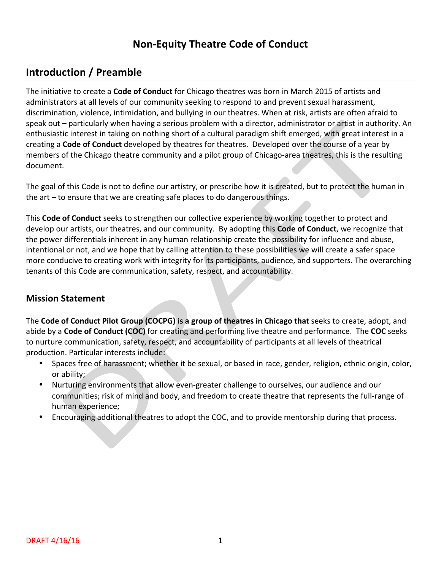## **Non-Equity Theatre Code of Conduct**

## **Introduction / Preamble**

The initiative to create a **Code of Conduct** for Chicago theatres was born in March 2015 of artists and administrators at all levels of our community seeking to respond to and prevent sexual harassment, discrimination, violence, intimidation, and bullying in our theatres. When at risk, artists are often afraid to speak out – particularly when having a serious problem with a director, administrator or artist in authority. An enthusiastic interest in taking on nothing short of a cultural paradigm shift emerged, with great interest in a creating a **Code of Conduct** developed by theatres for theatres. Developed over the course of a year by members of the Chicago theatre community and a pilot group of Chicago-area theatres, this is the resulting document.

The goal of this Code is not to define our artistry, or prescribe how it is created, but to protect the human in the  $art$  – to ensure that we are creating safe places to do dangerous things.

This **Code of Conduct** seeks to strengthen our collective experience by working together to protect and develop our artists, our theatres, and our community. By adopting this **Code of Conduct**, we recognize that the power differentials inherent in any human relationship create the possibility for influence and abuse, intentional or not, and we hope that by calling attention to these possibilities we will create a safer space more conducive to creating work with integrity for its participants, audience, and supporters. The overarching tenants of this Code are communication, safety, respect, and accountability.

## **Mission Statement**

The Code of Conduct Pilot Group (COCPG) is a group of theatres in Chicago that seeks to create, adopt, and abide by a **Code of Conduct (COC)** for creating and performing live theatre and performance. The COC seeks to nurture communication, safety, respect, and accountability of participants at all levels of theatrical production. Particular interests include:

- Spaces free of harassment; whether it be sexual, or based in race, gender, religion, ethnic origin, color, or ability:
- Nurturing environments that allow even-greater challenge to ourselves, our audience and our communities; risk of mind and body, and freedom to create theatre that represents the full-range of human experience;
- Encouraging additional theatres to adopt the COC, and to provide mentorship during that process.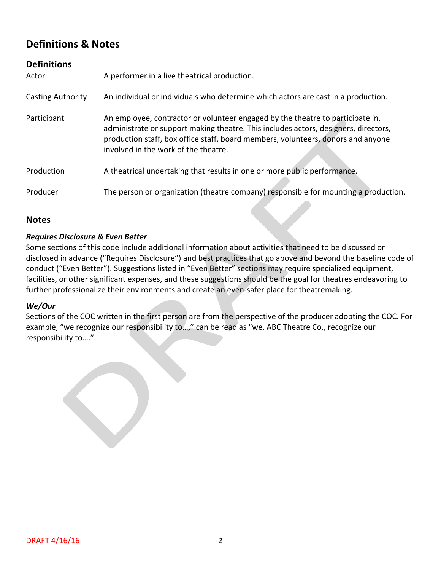## **Definitions & Notes**

| <b>Definitions</b><br>Actor | A performer in a live theatrical production.                                                                                                                                                                    |
|-----------------------------|-----------------------------------------------------------------------------------------------------------------------------------------------------------------------------------------------------------------|
| <b>Casting Authority</b>    | An individual or individuals who determine which actors are cast in a production.                                                                                                                               |
| Participant                 | An employee, contractor or volunteer engaged by the theatre to participate in,                                                                                                                                  |
|                             | administrate or support making theatre. This includes actors, designers, directors,<br>production staff, box office staff, board members, volunteers, donors and anyone<br>involved in the work of the theatre. |
| Production                  | A theatrical undertaking that results in one or more public performance.                                                                                                                                        |
| Producer                    | The person or organization (theatre company) responsible for mounting a production.                                                                                                                             |

### **Notes**

#### *Requires Disclosure & Even Better*

Some sections of this code include additional information about activities that need to be discussed or disclosed in advance ("Requires Disclosure") and best practices that go above and beyond the baseline code of conduct ("Even Better"). Suggestions listed in "Even Better" sections may require specialized equipment, facilities, or other significant expenses, and these suggestions should be the goal for theatres endeavoring to further professionalize their environments and create an even-safer place for theatremaking.

#### *We/Our*

Sections of the COC written in the first person are from the perspective of the producer adopting the COC. For example, "we recognize our responsibility to...," can be read as "we, ABC Theatre Co., recognize our responsibility to...."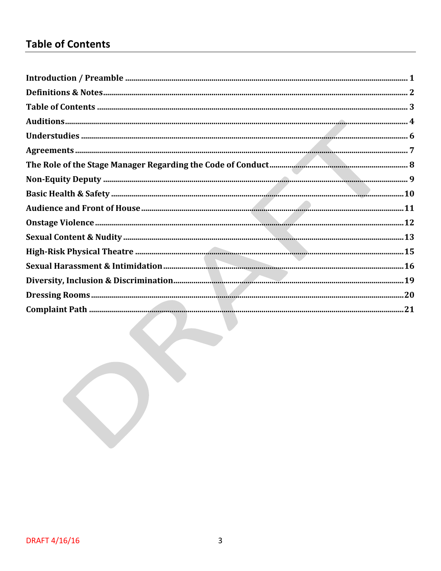# **Table of Contents**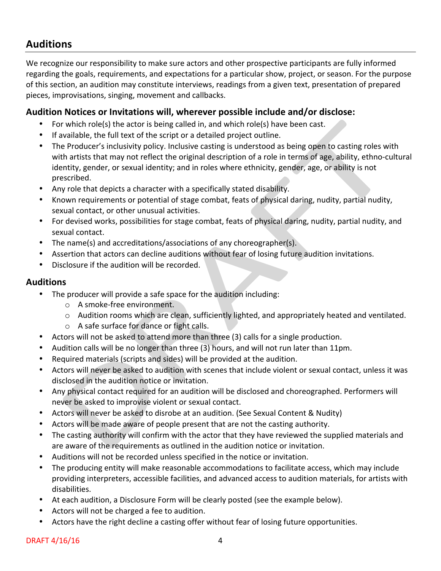## **Auditions**

We recognize our responsibility to make sure actors and other prospective participants are fully informed regarding the goals, requirements, and expectations for a particular show, project, or season. For the purpose of this section, an audition may constitute interviews, readings from a given text, presentation of prepared pieces, improvisations, singing, movement and callbacks.

### **Audition Notices or Invitations will, wherever possible include and/or disclose:**

- For which role(s) the actor is being called in, and which role(s) have been cast.
- If available, the full text of the script or a detailed project outline.
- The Producer's inclusivity policy. Inclusive casting is understood as being open to casting roles with with artists that may not reflect the original description of a role in terms of age, ability, ethno-cultural identity, gender, or sexual identity; and in roles where ethnicity, gender, age, or ability is not prescribed.
- Any role that depicts a character with a specifically stated disability.
- Known requirements or potential of stage combat, feats of physical daring, nudity, partial nudity, sexual contact, or other unusual activities.
- For devised works, possibilities for stage combat, feats of physical daring, nudity, partial nudity, and sexual contact.
- The name(s) and accreditations/associations of any choreographer(s).
- Assertion that actors can decline auditions without fear of losing future audition invitations.
- Disclosure if the audition will be recorded.

#### **Auditions**

- The producer will provide a safe space for the audition including:
	- o A smoke-free environment.
	- o Audition rooms which are clean, sufficiently lighted, and appropriately heated and ventilated.
	- $\circ$  A safe surface for dance or fight calls.
- Actors will not be asked to attend more than three (3) calls for a single production.
- Audition calls will be no longer than three (3) hours, and will not run later than 11pm.
- Required materials (scripts and sides) will be provided at the audition.
- Actors will never be asked to audition with scenes that include violent or sexual contact, unless it was disclosed in the audition notice or invitation.
- Any physical contact required for an audition will be disclosed and choreographed. Performers will never be asked to improvise violent or sexual contact.
- Actors will never be asked to disrobe at an audition. (See Sexual Content & Nudity)
- Actors will be made aware of people present that are not the casting authority.
- The casting authority will confirm with the actor that they have reviewed the supplied materials and are aware of the requirements as outlined in the audition notice or invitation.
- Auditions will not be recorded unless specified in the notice or invitation.
- The producing entity will make reasonable accommodations to facilitate access, which may include providing interpreters, accessible facilities, and advanced access to audition materials, for artists with disabilities.
- At each audition, a Disclosure Form will be clearly posted (see the example below).
- Actors will not be charged a fee to audition.
- Actors have the right decline a casting offer without fear of losing future opportunities.

#### $DRAFT 4/16/16$  4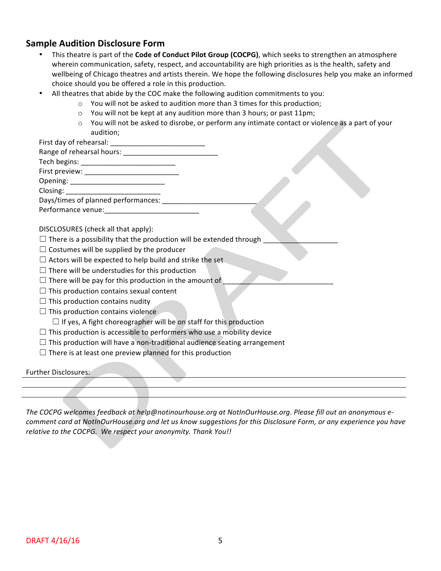### **Sample Audition Disclosure Form**

- This theatre is part of the **Code of Conduct Pilot Group (COCPG)**, which seeks to strengthen an atmosphere wherein communication, safety, respect, and accountability are high priorities as is the health, safety and wellbeing of Chicago theatres and artists therein. We hope the following disclosures help you make an informed choice should you be offered a role in this production.
	- All theatres that abide by the COC make the following audition commitments to you:
		- $\circ$  You will not be asked to audition more than 3 times for this production;
			- $\circ$  You will not be kept at any audition more than 3 hours; or past 11pm;
			- $\circ$  You will not be asked to disrobe, or perform any intimate contact or violence as a part of your audition;

First day of rehearsal: \_\_\_\_\_\_\_\_\_\_\_\_\_\_\_\_\_\_\_\_\_\_\_\_ 

| Range of rehearsal hours: |  |
|---------------------------|--|
|---------------------------|--|

Tech begins: \_\_\_\_\_\_\_\_\_\_\_\_\_\_\_\_\_\_\_\_\_\_\_\_ First preview:

Opening: \_\_\_\_\_\_\_\_\_\_\_\_\_\_\_\_\_\_\_\_\_\_\_\_ 

Closing: \_\_\_\_\_\_\_\_\_\_\_\_\_\_\_\_\_\_\_\_\_\_\_\_ Days/times of planned performances: \_\_\_\_\_\_\_\_\_\_\_\_\_\_\_\_\_\_\_\_\_\_\_\_ 

Performance venue:

DISCLOSURES (check all that apply):

- $\Box$  There is a possibility that the production will be extended through
- $\Box$  Costumes will be supplied by the producer
- $\Box$  Actors will be expected to help build and strike the set
- $\Box$  There will be understudies for this production
- $\Box$  There will be pay for this production in the amount of
- $\Box$  This production contains sexual content
- $\Box$  This production contains nudity
- $\Box$  This production contains violence

 $\Box$  If yes, A fight choreographer will be on staff for this production

- $\Box$  This production is accessible to performers who use a mobility device
- $\Box$  This production will have a non-traditional audience seating arrangement
- $\Box$  There is at least one preview planned for this production

Further Disclosures:

The COCPG welcomes feedback at help@notinourhouse.org at NotInOurHouse.org. Please fill out an anonymous e*comment card at NotInOurHouse.org and let us know suggestions for this Disclosure Form, or any experience you have relative to the COCPG. We respect your anonymity. Thank You!!*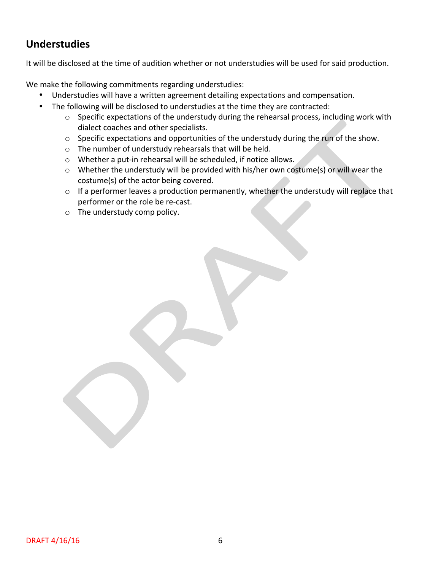## **Understudies**

It will be disclosed at the time of audition whether or not understudies will be used for said production.

We make the following commitments regarding understudies:

- Understudies will have a written agreement detailing expectations and compensation.
- The following will be disclosed to understudies at the time they are contracted:
	- $\circ$  Specific expectations of the understudy during the rehearsal process, including work with dialect coaches and other specialists.
	- $\circ$  Specific expectations and opportunities of the understudy during the run of the show.
	- $\circ$  The number of understudy rehearsals that will be held.
	- $\circ$  Whether a put-in rehearsal will be scheduled, if notice allows.
	- o Whether the understudy will be provided with his/her own costume(s) or will wear the costume(s) of the actor being covered.
	- $\circ$  If a performer leaves a production permanently, whether the understudy will replace that performer or the role be re-cast.
	- $\circ$  The understudy comp policy.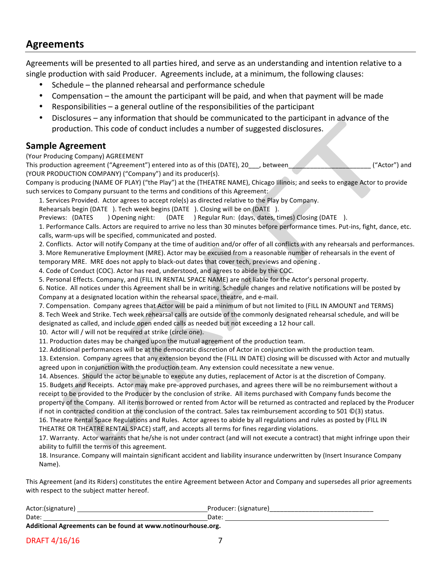## **Agreements**

Agreements will be presented to all parties hired, and serve as an understanding and intention relative to a single production with said Producer. Agreements include, at a minimum, the following clauses:

- Schedule  $-$  the planned rehearsal and performance schedule
- Compensation the amount the participant will be paid, and when that payment will be made
- Responsibilities  $-$  a general outline of the responsibilities of the participant
- Disclosures any information that should be communicated to the participant in advance of the production. This code of conduct includes a number of suggested disclosures.

#### **Sample Agreement**

(Your Producing Company) AGREEMENT

This production agreement ("Agreement") entered into as of this (DATE), 20\_\_\_, between\_\_\_\_\_\_\_\_\_\_\_\_\_\_\_\_\_\_\_\_\_\_\_ ("Actor") and (YOUR PRODUCTION COMPANY) ("Company") and its producer(s).

Company is producing (NAME OF PLAY) ("the Play") at the (THEATRE NAME), Chicago Illinois; and seeks to engage Actor to provide such services to Company pursuant to the terms and conditions of this Agreement:

1. Services Provided. Actor agrees to accept role(s) as directed relative to the Play by Company.

Rehearsals begin (DATE ). Tech week begins (DATE ). Closing will be on (DATE).

Previews: (DATES ) Opening night: (DATE ) Regular Run: (days, dates, times) Closing (DATE ).

1. Performance Calls. Actors are required to arrive no less than 30 minutes before performance times. Put-ins, fight, dance, etc. calls, warm-ups will be specified, communicated and posted.

2. Conflicts. Actor will notify Company at the time of audition and/or offer of all conflicts with any rehearsals and performances.

3. More Remunerative Employment (MRE). Actor may be excused from a reasonable number of rehearsals in the event of

temporary MRE. MRE does not apply to black-out dates that cover tech, previews and opening.

4. Code of Conduct (COC). Actor has read, understood, and agrees to abide by the COC.

5. Personal Effects. Company, and (FILL IN RENTAL SPACE NAME) are not liable for the Actor's personal property.

6. Notice. All notices under this Agreement shall be in writing. Schedule changes and relative notifications will be posted by Company at a designated location within the rehearsal space, theatre, and e-mail.

7. Compensation. Company agrees that Actor will be paid a minimum of but not limited to (FILL IN AMOUNT and TERMS) 8. Tech Week and Strike. Tech week rehearsal calls are outside of the commonly designated rehearsal schedule, and will be designated as called, and include open ended calls as needed but not exceeding a 12 hour call.

10. Actor will / will not be required at strike (circle one).

11. Production dates may be changed upon the mutual agreement of the production team.

12. Additional performances will be at the democratic discretion of Actor in conjunction with the production team.

13. Extension. Company agrees that any extension beyond the (FILL IN DATE) closing will be discussed with Actor and mutually agreed upon in conjunction with the production team. Any extension could necessitate a new venue.

14. Absences. Should the actor be unable to execute any duties, replacement of Actor is at the discretion of Company. 15. Budgets and Receipts. Actor may make pre-approved purchases, and agrees there will be no reimbursement without a receipt to be provided to the Producer by the conclusion of strike. All items purchased with Company funds become the property of the Company. All items borrowed or rented from Actor will be returned as contracted and replaced by the Producer if not in contracted condition at the conclusion of the contract. Sales tax reimbursement according to 501  $\mathbb{O}(3)$  status. 16. Theatre Rental Space Regulations and Rules. Actor agrees to abide by all regulations and rules as posted by (FILL IN

THEATRE OR THEATRE RENTAL SPACE) staff, and accepts all terms for fines regarding violations.

17. Warranty. Actor warrants that he/she is not under contract (and will not execute a contract) that might infringe upon their ability to fulfill the terms of this agreement.

18. Insurance. Company will maintain significant accident and liability insurance underwritten by (Insert Insurance Company Name).

This Agreement (and its Riders) constitutes the entire Agreement between Actor and Company and supersedes all prior agreements with respect to the subject matter hereof.

| Actor:(signature)                                           | Producer: (signature) |  |  |  |
|-------------------------------------------------------------|-----------------------|--|--|--|
| Date:                                                       | Date                  |  |  |  |
| Additional Agreements can be found at www.potingurbouse.org |                       |  |  |  |

**Additional Agreements can be found at www.notinourhouse.org.**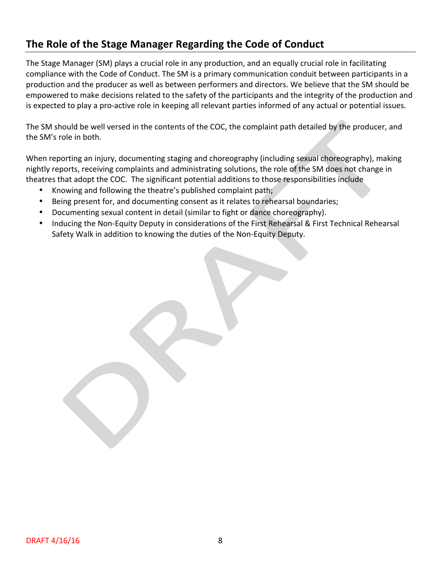## **The Role of the Stage Manager Regarding the Code of Conduct**

The Stage Manager (SM) plays a crucial role in any production, and an equally crucial role in facilitating compliance with the Code of Conduct. The SM is a primary communication conduit between participants in a production and the producer as well as between performers and directors. We believe that the SM should be empowered to make decisions related to the safety of the participants and the integrity of the production and is expected to play a pro-active role in keeping all relevant parties informed of any actual or potential issues.

The SM should be well versed in the contents of the COC, the complaint path detailed by the producer, and the SM's role in both.

When reporting an injury, documenting staging and choreography (including sexual choreography), making nightly reports, receiving complaints and administrating solutions, the role of the SM does not change in theatres that adopt the COC. The significant potential additions to those responsibilities include

- Knowing and following the theatre's published complaint path;
- Being present for, and documenting consent as it relates to rehearsal boundaries;
- Documenting sexual content in detail (similar to fight or dance choreography).
- Inducing the Non-Equity Deputy in considerations of the First Rehearsal & First Technical Rehearsal Safety Walk in addition to knowing the duties of the Non-Equity Deputy.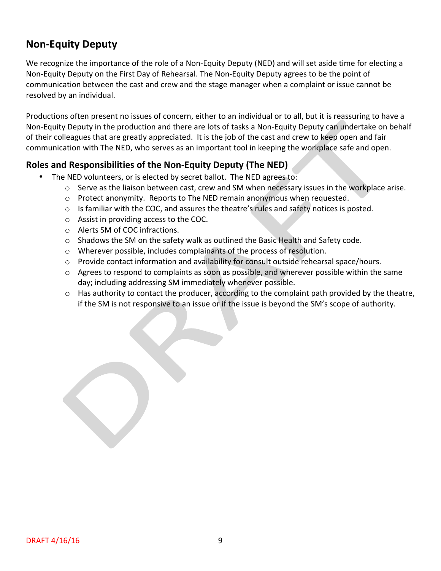## **Non-Equity Deputy**

We recognize the importance of the role of a Non-Equity Deputy (NED) and will set aside time for electing a Non-Equity Deputy on the First Day of Rehearsal. The Non-Equity Deputy agrees to be the point of communication between the cast and crew and the stage manager when a complaint or issue cannot be resolved by an individual.

Productions often present no issues of concern, either to an individual or to all, but it is reassuring to have a Non-Equity Deputy in the production and there are lots of tasks a Non-Equity Deputy can undertake on behalf of their colleagues that are greatly appreciated. It is the job of the cast and crew to keep open and fair communication with The NED, who serves as an important tool in keeping the workplace safe and open.

### **Roles and Responsibilities of the Non-Equity Deputy (The NED)**

- The NED volunteers, or is elected by secret ballot. The NED agrees to:
	- $\circ$  Serve as the liaison between cast, crew and SM when necessary issues in the workplace arise.
	- $\circ$  Protect anonymity. Reports to The NED remain anonymous when requested.
	- $\circ$  Is familiar with the COC, and assures the theatre's rules and safety notices is posted.
	- $\circ$  Assist in providing access to the COC.
	- $\circ$  Alerts SM of COC infractions.
	- $\circ$  Shadows the SM on the safety walk as outlined the Basic Health and Safety code.
	- $\circ$  Wherever possible, includes complainants of the process of resolution.
	- o Provide contact information and availability for consult outside rehearsal space/hours.
	- $\circ$  Agrees to respond to complaints as soon as possible, and wherever possible within the same day; including addressing SM immediately whenever possible.
	- $\circ$  Has authority to contact the producer, according to the complaint path provided by the theatre, if the SM is not responsive to an issue or if the issue is beyond the SM's scope of authority.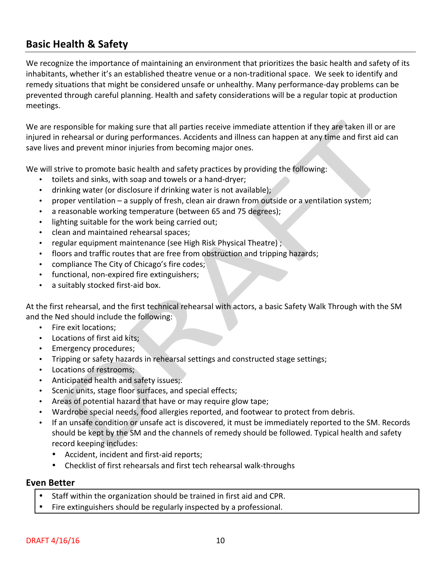## **Basic Health & Safety**

We recognize the importance of maintaining an environment that prioritizes the basic health and safety of its inhabitants, whether it's an established theatre venue or a non-traditional space. We seek to identify and remedy situations that might be considered unsafe or unhealthy. Many performance-day problems can be prevented through careful planning. Health and safety considerations will be a regular topic at production meetings. 

We are responsible for making sure that all parties receive immediate attention if they are taken ill or are injured in rehearsal or during performances. Accidents and illness can happen at any time and first aid can save lives and prevent minor injuries from becoming major ones.

We will strive to promote basic health and safety practices by providing the following:

- toilets and sinks, with soap and towels or a hand-dryer;
- drinking water (or disclosure if drinking water is not available);
- proper ventilation a supply of fresh, clean air drawn from outside or a ventilation system;
- a reasonable working temperature (between 65 and 75 degrees);
- lighting suitable for the work being carried out;
- clean and maintained rehearsal spaces;
- regular equipment maintenance (see High Risk Physical Theatre) ;
- floors and traffic routes that are free from obstruction and tripping hazards;
- compliance The City of Chicago's fire codes;
- functional, non-expired fire extinguishers;
- a suitably stocked first-aid box.

At the first rehearsal, and the first technical rehearsal with actors, a basic Safety Walk Through with the SM and the Ned should include the following:

- Fire exit locations;
- Locations of first aid kits:
- Emergency procedures;
- Tripping or safety hazards in rehearsal settings and constructed stage settings;
- Locations of restrooms;
- Anticipated health and safety issues;.
- Scenic units, stage floor surfaces, and special effects;
- Areas of potential hazard that have or may require glow tape;
- Wardrobe special needs, food allergies reported, and footwear to protect from debris.
- If an unsafe condition or unsafe act is discovered, it must be immediately reported to the SM. Records should be kept by the SM and the channels of remedy should be followed. Typical health and safety record keeping includes:
	- Accident, incident and first-aid reports;
	- Checklist of first rehearsals and first tech rehearsal walk-throughs

#### **Even Better**

- Staff within the organization should be trained in first aid and CPR.
- Fire extinguishers should be regularly inspected by a professional.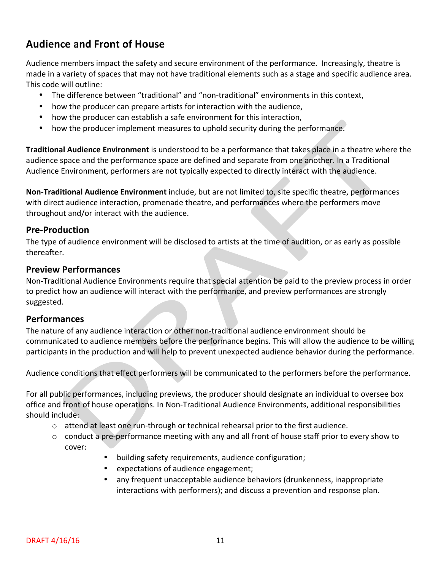## **Audience and Front of House**

Audience members impact the safety and secure environment of the performance. Increasingly, theatre is made in a variety of spaces that may not have traditional elements such as a stage and specific audience area. This code will outline:

- The difference between "traditional" and "non-traditional" environments in this context,
- how the producer can prepare artists for interaction with the audience,
- how the producer can establish a safe environment for this interaction,
- how the producer implement measures to uphold security during the performance.

**Traditional Audience Environment** is understood to be a performance that takes place in a theatre where the audience space and the performance space are defined and separate from one another. In a Traditional Audience Environment, performers are not typically expected to directly interact with the audience.

**Non-Traditional Audience Environment** include, but are not limited to, site specific theatre, performances with direct audience interaction, promenade theatre, and performances where the performers move throughout and/or interact with the audience.

#### **Pre-Production**

The type of audience environment will be disclosed to artists at the time of audition, or as early as possible thereafter.

#### **Preview Performances**

Non-Traditional Audience Environments require that special attention be paid to the preview process in order to predict how an audience will interact with the performance, and preview performances are strongly suggested.

#### **Performances**

The nature of any audience interaction or other non-traditional audience environment should be communicated to audience members before the performance begins. This will allow the audience to be willing participants in the production and will help to prevent unexpected audience behavior during the performance.

Audience conditions that effect performers will be communicated to the performers before the performance.

For all public performances, including previews, the producer should designate an individual to oversee box office and front of house operations. In Non-Traditional Audience Environments, additional responsibilities should include:

- $\circ$  attend at least one run-through or technical rehearsal prior to the first audience.
- $\circ$  conduct a pre-performance meeting with any and all front of house staff prior to every show to cover:
	- building safety requirements, audience configuration;
	- expectations of audience engagement;
	- any frequent unacceptable audience behaviors (drunkenness, inappropriate interactions with performers); and discuss a prevention and response plan.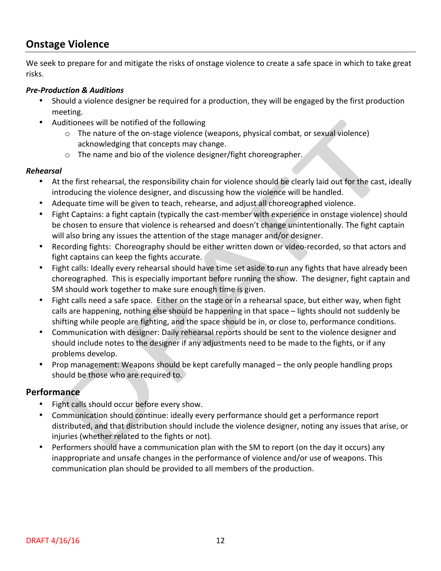## **Onstage Violence**

We seek to prepare for and mitigate the risks of onstage violence to create a safe space in which to take great risks.

#### *Pre-Production & Auditions*

- Should a violence designer be required for a production, they will be engaged by the first production meeting.
- Auditionees will be notified of the following
	- $\circ$  The nature of the on-stage violence (weapons, physical combat, or sexual violence) acknowledging that concepts may change.
	- $\circ$  The name and bio of the violence designer/fight choreographer.

#### *Rehearsal*

- At the first rehearsal, the responsibility chain for violence should be clearly laid out for the cast, ideally introducing the violence designer, and discussing how the violence will be handled.
- Adequate time will be given to teach, rehearse, and adjust all choreographed violence.
- Fight Captains: a fight captain (typically the cast-member with experience in onstage violence) should be chosen to ensure that violence is rehearsed and doesn't change unintentionally. The fight captain will also bring any issues the attention of the stage manager and/or designer.
- Recording fights: Choreography should be either written down or video-recorded, so that actors and fight captains can keep the fights accurate.
- Fight calls: Ideally every rehearsal should have time set aside to run any fights that have already been choreographed. This is especially important before running the show. The designer, fight captain and SM should work together to make sure enough time is given.
- Fight calls need a safe space. Either on the stage or in a rehearsal space, but either way, when fight calls are happening, nothing else should be happening in that space – lights should not suddenly be shifting while people are fighting, and the space should be in, or close to, performance conditions.
- Communication with designer: Daily rehearsal reports should be sent to the violence designer and should include notes to the designer if any adjustments need to be made to the fights, or if any problems develop.
- Prop management: Weapons should be kept carefully managed the only people handling props should be those who are required to.

### **Performance**

- Fight calls should occur before every show.
- Communication should continue: ideally every performance should get a performance report distributed, and that distribution should include the violence designer, noting any issues that arise, or injuries (whether related to the fights or not).
- Performers should have a communication plan with the SM to report (on the day it occurs) any inappropriate and unsafe changes in the performance of violence and/or use of weapons. This communication plan should be provided to all members of the production.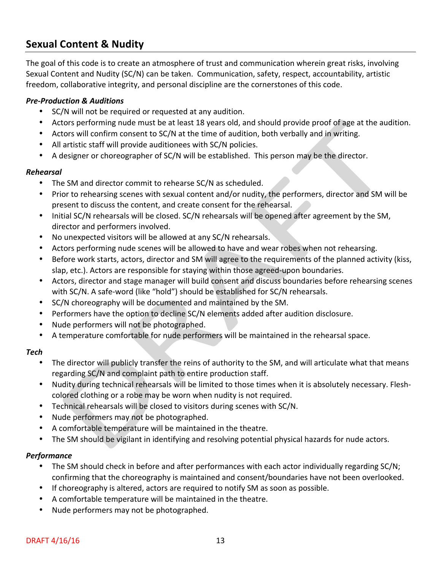## **Sexual Content & Nudity**

The goal of this code is to create an atmosphere of trust and communication wherein great risks, involving Sexual Content and Nudity (SC/N) can be taken. Communication, safety, respect, accountability, artistic freedom, collaborative integrity, and personal discipline are the cornerstones of this code.

#### *Pre-Production & Auditions*

- SC/N will not be required or requested at any audition.
- Actors performing nude must be at least 18 years old, and should provide proof of age at the audition.
- Actors will confirm consent to SC/N at the time of audition, both verbally and in writing.
- All artistic staff will provide auditionees with SC/N policies.
- A designer or choreographer of SC/N will be established. This person may be the director.

#### *Rehearsal*

- The SM and director commit to rehearse SC/N as scheduled.
- Prior to rehearsing scenes with sexual content and/or nudity, the performers, director and SM will be present to discuss the content, and create consent for the rehearsal.
- Initial SC/N rehearsals will be closed. SC/N rehearsals will be opened after agreement by the SM, director and performers involved.
- No unexpected visitors will be allowed at any SC/N rehearsals.
- Actors performing nude scenes will be allowed to have and wear robes when not rehearsing.
- Before work starts, actors, director and SM will agree to the requirements of the planned activity (kiss, slap, etc.). Actors are responsible for staying within those agreed-upon boundaries.
- Actors, director and stage manager will build consent and discuss boundaries before rehearsing scenes with SC/N. A safe-word (like "hold") should be established for SC/N rehearsals.
- SC/N choreography will be documented and maintained by the SM.
- Performers have the option to decline SC/N elements added after audition disclosure.
- Nude performers will not be photographed.
- A temperature comfortable for nude performers will be maintained in the rehearsal space.

#### *Tech*

- The director will publicly transfer the reins of authority to the SM, and will articulate what that means regarding SC/N and complaint path to entire production staff.
- Nudity during technical rehearsals will be limited to those times when it is absolutely necessary. Fleshcolored clothing or a robe may be worn when nudity is not required.
- Technical rehearsals will be closed to visitors during scenes with SC/N.
- Nude performers may not be photographed.
- A comfortable temperature will be maintained in the theatre.
- The SM should be vigilant in identifying and resolving potential physical hazards for nude actors.

#### *Performance*

- The SM should check in before and after performances with each actor individually regarding SC/N; confirming that the choreography is maintained and consent/boundaries have not been overlooked.
- If choreography is altered, actors are required to notify SM as soon as possible.
- A comfortable temperature will be maintained in the theatre.
- Nude performers may not be photographed.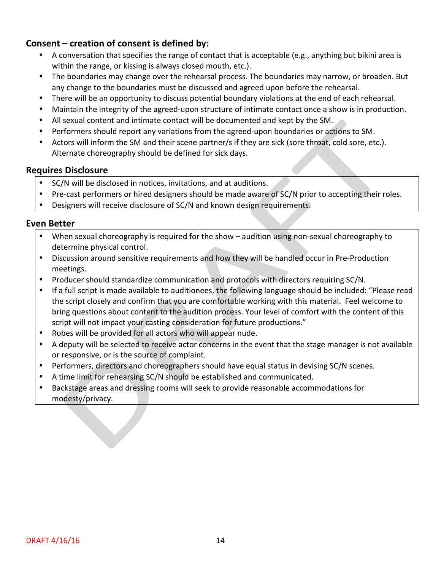### **Consent** – creation of consent is defined by:

- A conversation that specifies the range of contact that is acceptable (e.g., anything but bikini area is within the range, or kissing is always closed mouth, etc.).
- The boundaries may change over the rehearsal process. The boundaries may narrow, or broaden. But any change to the boundaries must be discussed and agreed upon before the rehearsal.
- There will be an opportunity to discuss potential boundary violations at the end of each rehearsal.
- Maintain the integrity of the agreed-upon structure of intimate contact once a show is in production.
- All sexual content and intimate contact will be documented and kept by the SM.
- Performers should report any variations from the agreed-upon boundaries or actions to SM.
- Actors will inform the SM and their scene partner/s if they are sick (sore throat, cold sore, etc.). Alternate choreography should be defined for sick days.

#### **Requires Disclosure**

- SC/N will be disclosed in notices, invitations, and at auditions.
- Pre-cast performers or hired designers should be made aware of SC/N prior to accepting their roles.
- Designers will receive disclosure of SC/N and known design requirements.

#### **Even Better**

- When sexual choreography is required for the show audition using non-sexual choreography to determine physical control.
- Discussion around sensitive requirements and how they will be handled occur in Pre-Production meetings.
- Producer should standardize communication and protocols with directors requiring SC/N.
- If a full script is made available to auditionees, the following language should be included: "Please read the script closely and confirm that you are comfortable working with this material. Feel welcome to bring questions about content to the audition process. Your level of comfort with the content of this script will not impact your casting consideration for future productions."
- Robes will be provided for all actors who will appear nude.
- A deputy will be selected to receive actor concerns in the event that the stage manager is not available or responsive, or is the source of complaint.
- Performers, directors and choreographers should have equal status in devising SC/N scenes.
- A time limit for rehearsing SC/N should be established and communicated.
- Backstage areas and dressing rooms will seek to provide reasonable accommodations for modesty/privacy.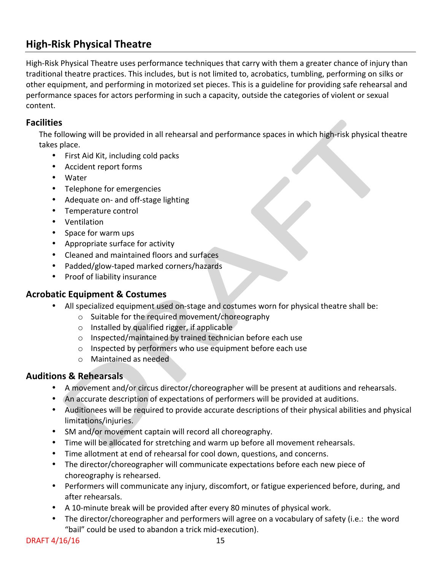## **High-Risk Physical Theatre**

High-Risk Physical Theatre uses performance techniques that carry with them a greater chance of injury than traditional theatre practices. This includes, but is not limited to, acrobatics, tumbling, performing on silks or other equipment, and performing in motorized set pieces. This is a guideline for providing safe rehearsal and performance spaces for actors performing in such a capacity, outside the categories of violent or sexual content.

### **Facilities**

The following will be provided in all rehearsal and performance spaces in which high-risk physical theatre takes place.

- First Aid Kit, including cold packs
- Accident report forms
- Water
- Telephone for emergencies
- Adequate on- and off-stage lighting
- Temperature control
- Ventilation
- Space for warm ups
- Appropriate surface for activity
- Cleaned and maintained floors and surfaces
- Padded/glow-taped marked corners/hazards
- Proof of liability insurance

### **Acrobatic Equipment & Costumes**

- All specialized equipment used on-stage and costumes worn for physical theatre shall be:
	- $\circ$  Suitable for the required movement/choreography
	- $\circ$  Installed by qualified rigger, if applicable
	- $\circ$  Inspected/maintained by trained technician before each use
	- $\circ$  Inspected by performers who use equipment before each use
	- $\circ$  Maintained as needed

### **Auditions & Rehearsals**

- A movement and/or circus director/choreographer will be present at auditions and rehearsals.
- An accurate description of expectations of performers will be provided at auditions.
- Auditionees will be required to provide accurate descriptions of their physical abilities and physical limitations/injuries.
- SM and/or movement captain will record all choreography.
- Time will be allocated for stretching and warm up before all movement rehearsals.
- Time allotment at end of rehearsal for cool down, questions, and concerns.
- The director/choreographer will communicate expectations before each new piece of choreography is rehearsed.
- Performers will communicate any injury, discomfort, or fatigue experienced before, during, and after rehearsals.
- A 10-minute break will be provided after every 80 minutes of physical work.
- The director/choreographer and performers will agree on a vocabulary of safety (i.e.: the word "bail" could be used to abandon a trick mid-execution).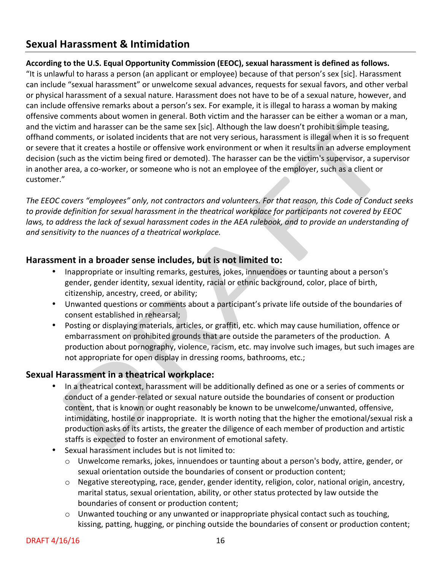## **Sexual Harassment & Intimidation**

#### According to the U.S. Equal Opportunity Commission (EEOC), sexual harassment is defined as follows.

"It is unlawful to harass a person (an applicant or employee) because of that person's sex [sic]. Harassment can include "sexual harassment" or unwelcome sexual advances, requests for sexual favors, and other verbal or physical harassment of a sexual nature. Harassment does not have to be of a sexual nature, however, and can include offensive remarks about a person's sex. For example, it is illegal to harass a woman by making offensive comments about women in general. Both victim and the harasser can be either a woman or a man, and the victim and harasser can be the same sex [sic]. Although the law doesn't prohibit simple teasing, offhand comments, or isolated incidents that are not very serious, harassment is illegal when it is so frequent or severe that it creates a hostile or offensive work environment or when it results in an adverse employment decision (such as the victim being fired or demoted). The harasser can be the victim's supervisor, a supervisor in another area, a co-worker, or someone who is not an employee of the employer, such as a client or customer."

The EEOC covers "employees" only, not contractors and volunteers. For that reason, this Code of Conduct seeks to provide definition for sexual harassment in the theatrical workplace for participants not covered by EEOC laws, to address the lack of sexual harassment codes in the AEA rulebook, and to provide an understanding of and sensitivity to the nuances of a theatrical workplace.

### **Harassment in a broader sense includes, but is not limited to:**

- Inappropriate or insulting remarks, gestures, jokes, innuendoes or taunting about a person's gender, gender identity, sexual identity, racial or ethnic background, color, place of birth, citizenship, ancestry, creed, or ability;
- Unwanted questions or comments about a participant's private life outside of the boundaries of consent established in rehearsal;
- Posting or displaying materials, articles, or graffiti, etc. which may cause humiliation, offence or embarrassment on prohibited grounds that are outside the parameters of the production. A production about pornography, violence, racism, etc. may involve such images, but such images are not appropriate for open display in dressing rooms, bathrooms, etc.;

### **Sexual Harassment in a theatrical workplace:**

- In a theatrical context, harassment will be additionally defined as one or a series of comments or conduct of a gender-related or sexual nature outside the boundaries of consent or production content, that is known or ought reasonably be known to be unwelcome/unwanted, offensive, intimidating, hostile or inappropriate. It is worth noting that the higher the emotional/sexual risk a production asks of its artists, the greater the diligence of each member of production and artistic staffs is expected to foster an environment of emotional safety.
- Sexual harassment includes but is not limited to:
	- $\circ$  Unwelcome remarks, jokes, innuendoes or taunting about a person's body, attire, gender, or sexual orientation outside the boundaries of consent or production content;
	- $\circ$  Negative stereotyping, race, gender, gender identity, religion, color, national origin, ancestry, marital status, sexual orientation, ability, or other status protected by law outside the boundaries of consent or production content;
	- $\circ$  Unwanted touching or any unwanted or inappropriate physical contact such as touching, kissing, patting, hugging, or pinching outside the boundaries of consent or production content;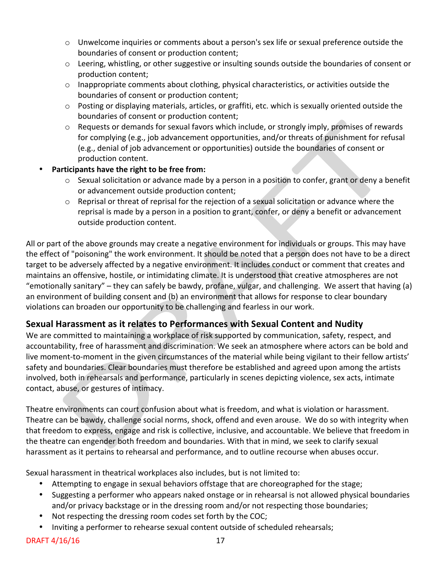- $\circ$  Unwelcome inquiries or comments about a person's sex life or sexual preference outside the boundaries of consent or production content;
- $\circ$  Leering, whistling, or other suggestive or insulting sounds outside the boundaries of consent or production content;
- $\circ$  Inappropriate comments about clothing, physical characteristics, or activities outside the boundaries of consent or production content;
- $\circ$  Posting or displaying materials, articles, or graffiti, etc. which is sexually oriented outside the boundaries of consent or production content;
- $\circ$  Requests or demands for sexual favors which include, or strongly imply, promises of rewards for complying (e.g., job advancement opportunities, and/or threats of punishment for refusal (e.g., denial of job advancement or opportunities) outside the boundaries of consent or production content.
- **Participants have the right to be free from:** 
	- $\circ$  Sexual solicitation or advance made by a person in a position to confer, grant or deny a benefit or advancement outside production content;
	- $\circ$  Reprisal or threat of reprisal for the rejection of a sexual solicitation or advance where the reprisal is made by a person in a position to grant, confer, or deny a benefit or advancement outside production content.

All or part of the above grounds may create a negative environment for individuals or groups. This may have the effect of "poisoning" the work environment. It should be noted that a person does not have to be a direct target to be adversely affected by a negative environment. It includes conduct or comment that creates and maintains an offensive, hostile, or intimidating climate. It is understood that creative atmospheres are not "emotionally sanitary" – they can safely be bawdy, profane, vulgar, and challenging. We assert that having (a) an environment of building consent and (b) an environment that allows for response to clear boundary violations can broaden our opportunity to be challenging and fearless in our work.

## **Sexual Harassment as it relates to Performances with Sexual Content and Nudity**

We are committed to maintaining a workplace of risk supported by communication, safety, respect, and accountability, free of harassment and discrimination. We seek an atmosphere where actors can be bold and live moment-to-moment in the given circumstances of the material while being vigilant to their fellow artists' safety and boundaries. Clear boundaries must therefore be established and agreed upon among the artists involved, both in rehearsals and performance, particularly in scenes depicting violence, sex acts, intimate contact, abuse, or gestures of intimacy.

Theatre environments can court confusion about what is freedom, and what is violation or harassment. Theatre can be bawdy, challenge social norms, shock, offend and even arouse. We do so with integrity when that freedom to express, engage and risk is collective, inclusive, and accountable. We believe that freedom in the theatre can engender both freedom and boundaries. With that in mind, we seek to clarify sexual harassment as it pertains to rehearsal and performance, and to outline recourse when abuses occur.

Sexual harassment in theatrical workplaces also includes, but is not limited to:

- Attempting to engage in sexual behaviors offstage that are choreographed for the stage;
- Suggesting a performer who appears naked onstage or in rehearsal is not allowed physical boundaries and/or privacy backstage or in the dressing room and/or not respecting those boundaries;
- Not respecting the dressing room codes set forth by the COC;
- Inviting a performer to rehearse sexual content outside of scheduled rehearsals;

DRAFT 4/16/16 17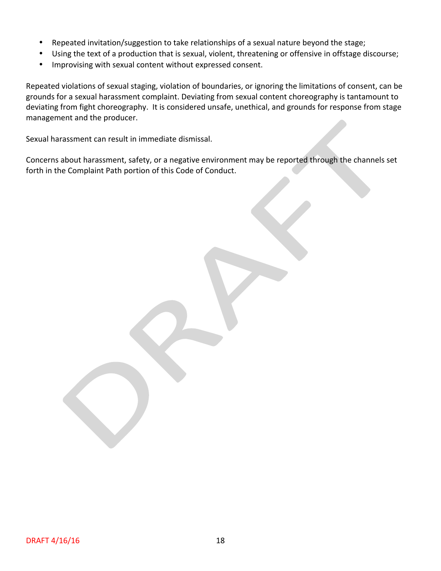- Repeated invitation/suggestion to take relationships of a sexual nature beyond the stage;
- Using the text of a production that is sexual, violent, threatening or offensive in offstage discourse;
- Improvising with sexual content without expressed consent.

Repeated violations of sexual staging, violation of boundaries, or ignoring the limitations of consent, can be grounds for a sexual harassment complaint. Deviating from sexual content choreography is tantamount to deviating from fight choreography. It is considered unsafe, unethical, and grounds for response from stage management and the producer.

Sexual harassment can result in immediate dismissal.

Concerns about harassment, safety, or a negative environment may be reported through the channels set forth in the Complaint Path portion of this Code of Conduct.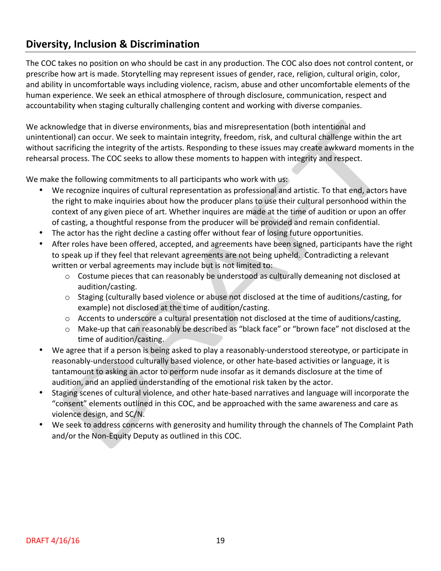## **Diversity, Inclusion & Discrimination**

The COC takes no position on who should be cast in any production. The COC also does not control content, or prescribe how art is made. Storytelling may represent issues of gender, race, religion, cultural origin, color, and ability in uncomfortable ways including violence, racism, abuse and other uncomfortable elements of the human experience. We seek an ethical atmosphere of through disclosure, communication, respect and accountability when staging culturally challenging content and working with diverse companies.

We acknowledge that in diverse environments, bias and misrepresentation (both intentional and unintentional) can occur. We seek to maintain integrity, freedom, risk, and cultural challenge within the art without sacrificing the integrity of the artists. Responding to these issues may create awkward moments in the rehearsal process. The COC seeks to allow these moments to happen with integrity and respect.

We make the following commitments to all participants who work with us:

- We recognize inquires of cultural representation as professional and artistic. To that end, actors have the right to make inquiries about how the producer plans to use their cultural personhood within the context of any given piece of art. Whether inquires are made at the time of audition or upon an offer of casting, a thoughtful response from the producer will be provided and remain confidential.
- The actor has the right decline a casting offer without fear of losing future opportunities.
- After roles have been offered, accepted, and agreements have been signed, participants have the right to speak up if they feel that relevant agreements are not being upheld. Contradicting a relevant written or verbal agreements may include but is not limited to:
	- $\circ$  Costume pieces that can reasonably be understood as culturally demeaning not disclosed at audition/casting.
	- $\circ$  Staging (culturally based violence or abuse not disclosed at the time of auditions/casting, for example) not disclosed at the time of audition/casting.
	- $\circ$  Accents to underscore a cultural presentation not disclosed at the time of auditions/casting,
	- o Make-up that can reasonably be described as "black face" or "brown face" not disclosed at the time of audition/casting.
- We agree that if a person is being asked to play a reasonably-understood stereotype, or participate in reasonably-understood culturally based violence, or other hate-based activities or language, it is tantamount to asking an actor to perform nude insofar as it demands disclosure at the time of audition, and an applied understanding of the emotional risk taken by the actor.
- Staging scenes of cultural violence, and other hate-based narratives and language will incorporate the "consent" elements outlined in this COC, and be approached with the same awareness and care as violence design, and SC/N.
- We seek to address concerns with generosity and humility through the channels of The Complaint Path and/or the Non-Equity Deputy as outlined in this COC.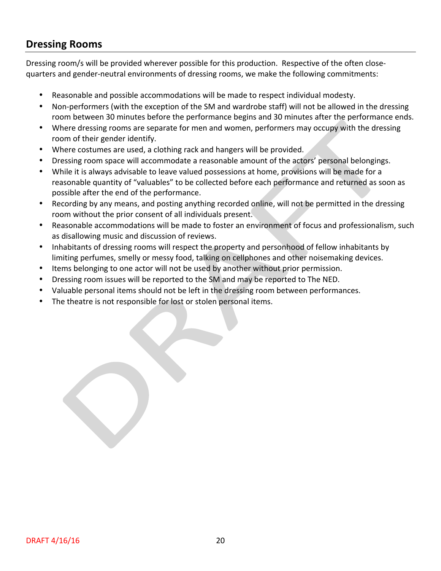## **Dressing Rooms**

Dressing room/s will be provided wherever possible for this production. Respective of the often closequarters and gender-neutral environments of dressing rooms, we make the following commitments:

- Reasonable and possible accommodations will be made to respect individual modesty.
- Non-performers (with the exception of the SM and wardrobe staff) will not be allowed in the dressing room between 30 minutes before the performance begins and 30 minutes after the performance ends.
- Where dressing rooms are separate for men and women, performers may occupy with the dressing room of their gender identify.
- Where costumes are used, a clothing rack and hangers will be provided.
- Dressing room space will accommodate a reasonable amount of the actors' personal belongings.
- While it is always advisable to leave valued possessions at home, provisions will be made for a reasonable quantity of "valuables" to be collected before each performance and returned as soon as possible after the end of the performance.
- Recording by any means, and posting anything recorded online, will not be permitted in the dressing room without the prior consent of all individuals present.
- Reasonable accommodations will be made to foster an environment of focus and professionalism, such as disallowing music and discussion of reviews.
- Inhabitants of dressing rooms will respect the property and personhood of fellow inhabitants by limiting perfumes, smelly or messy food, talking on cellphones and other noisemaking devices.
- Items belonging to one actor will not be used by another without prior permission.
- Dressing room issues will be reported to the SM and may be reported to The NED.
- Valuable personal items should not be left in the dressing room between performances.
- The theatre is not responsible for lost or stolen personal items.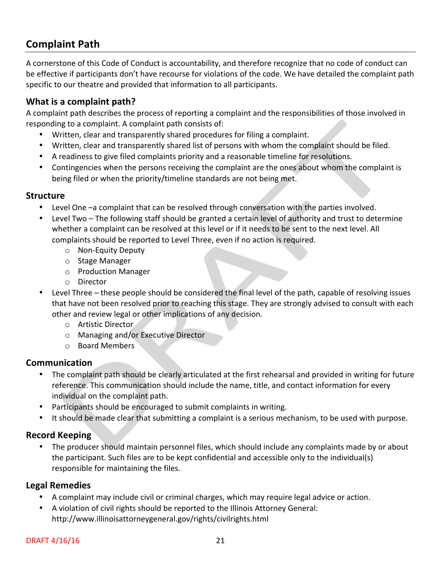## **Complaint Path**

A cornerstone of this Code of Conduct is accountability, and therefore recognize that no code of conduct can be effective if participants don't have recourse for violations of the code. We have detailed the complaint path specific to our theatre and provided that information to all participants.

### **What is a complaint path?**

A complaint path describes the process of reporting a complaint and the responsibilities of those involved in responding to a complaint. A complaint path consists of:

- Written, clear and transparently shared procedures for filing a complaint.
- Written, clear and transparently shared list of persons with whom the complaint should be filed.
- A readiness to give filed complaints priority and a reasonable timeline for resolutions.
- Contingencies when the persons receiving the complaint are the ones about whom the complaint is being filed or when the priority/timeline standards are not being met.

#### **Structure**

- Level One -a complaint that can be resolved through conversation with the parties involved.
- Level Two The following staff should be granted a certain level of authority and trust to determine whether a complaint can be resolved at this level or if it needs to be sent to the next level. All complaints should be reported to Level Three, even if no action is required.
	- o Non-Equity Deputy
	- o Stage Manager
	- o Production Manager
	- o Director
- Level Three these people should be considered the final level of the path, capable of resolving issues that have not been resolved prior to reaching this stage. They are strongly advised to consult with each other and review legal or other implications of any decision.
	- o Artistic Director
	- o Managing and/or Executive Director
	- o Board Members

### **Communication**

- The complaint path should be clearly articulated at the first rehearsal and provided in writing for future reference. This communication should include the name, title, and contact information for every individual on the complaint path.
- Participants should be encouraged to submit complaints in writing.
- It should be made clear that submitting a complaint is a serious mechanism, to be used with purpose.

### **Record Keeping**

The producer should maintain personnel files, which should include any complaints made by or about the participant. Such files are to be kept confidential and accessible only to the individual(s) responsible for maintaining the files.

### **Legal Remedies**

- A complaint may include civil or criminal charges, which may require legal advice or action.
- A violation of civil rights should be reported to the Illinois Attorney General: http://www.illinoisattorneygeneral.gov/rights/civilrights.html

#### DRAFT 4/16/16 21